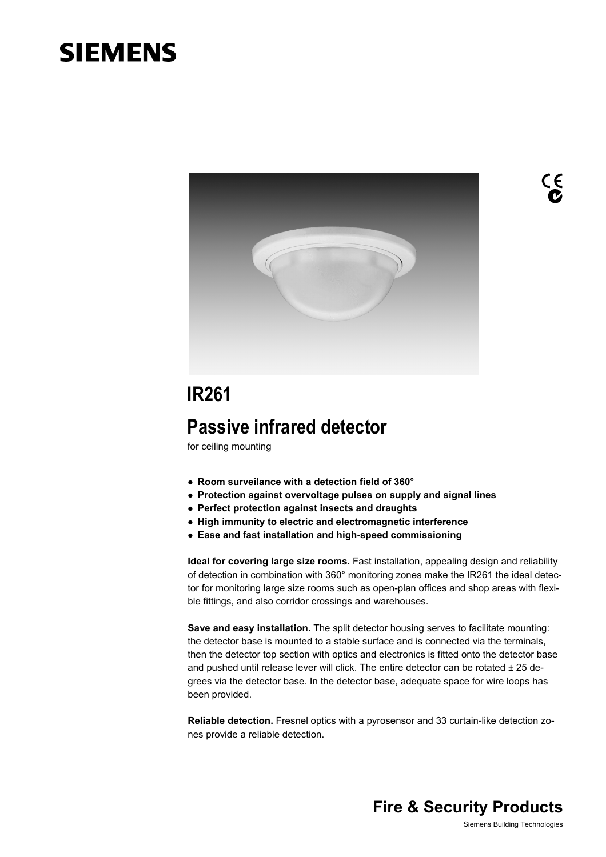# **SIEMENS**



<u>င္</u><br>၉

# **IR261 Passive infrared detector**

for ceiling mounting

- Room surveilance with a detection field of 360°
- **Protection against overvoltage pulses on supply and signal lines**
- **Perfect protection against insects and draughts**
- **High immunity to electric and electromagnetic interference**
- **Ease and fast installation and high-speed commissioning**

**Ideal for covering large size rooms.** Fast installation, appealing design and reliability of detection in combination with 360° monitoring zones make the IR261 the ideal detector for monitoring large size rooms such as open-plan offices and shop areas with flexible fittings, and also corridor crossings and warehouses.

**Save and easy installation.** The split detector housing serves to facilitate mounting: the detector base is mounted to a stable surface and is connected via the terminals, then the detector top section with optics and electronics is fitted onto the detector base and pushed until release lever will click. The entire detector can be rotated  $\pm 25$  degrees via the detector base. In the detector base, adequate space for wire loops has been provided.

**Reliable detection.** Fresnel optics with a pyrosensor and 33 curtain-like detection zones provide a reliable detection.

**Fire & Security Products** 

 $\overline{a}$ 

Siemens Building Technologies